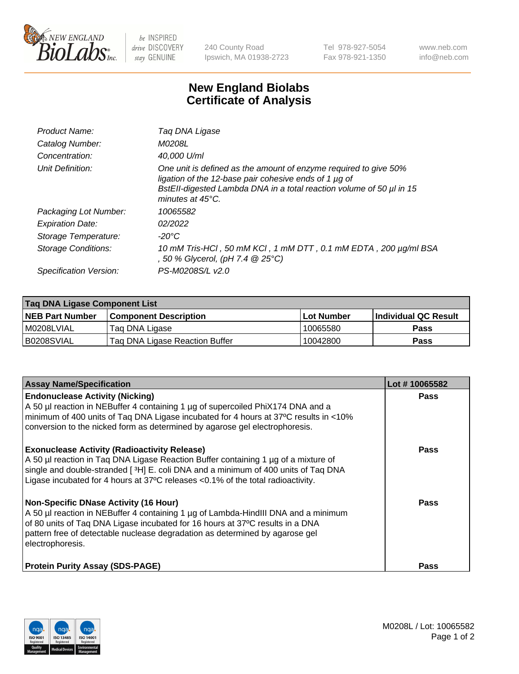

 $be$  INSPIRED drive DISCOVERY stay GENUINE

240 County Road Ipswich, MA 01938-2723 Tel 978-927-5054 Fax 978-921-1350 www.neb.com info@neb.com

## **New England Biolabs Certificate of Analysis**

| Product Name:              | Tag DNA Ligase                                                                                                                                                                                                                  |
|----------------------------|---------------------------------------------------------------------------------------------------------------------------------------------------------------------------------------------------------------------------------|
| Catalog Number:            | M0208L                                                                                                                                                                                                                          |
| Concentration:             | 40.000 U/ml                                                                                                                                                                                                                     |
| Unit Definition:           | One unit is defined as the amount of enzyme required to give 50%<br>ligation of the 12-base pair cohesive ends of 1 µg of<br>BstEll-digested Lambda DNA in a total reaction volume of 50 µl in 15<br>minutes at $45^{\circ}$ C. |
| Packaging Lot Number:      | 10065582                                                                                                                                                                                                                        |
| <b>Expiration Date:</b>    | 02/2022                                                                                                                                                                                                                         |
| Storage Temperature:       | $-20^{\circ}$ C                                                                                                                                                                                                                 |
| <b>Storage Conditions:</b> | 10 mM Tris-HCl, 50 mM KCl, 1 mM DTT, 0.1 mM EDTA, 200 µg/ml BSA<br>, 50 % Glycerol, (pH 7.4 $@25°C$ )                                                                                                                           |
| Specification Version:     | PS-M0208S/L v2.0                                                                                                                                                                                                                |

| Taq DNA Ligase Component List |                                |                   |                      |  |
|-------------------------------|--------------------------------|-------------------|----------------------|--|
| <b>NEB Part Number</b>        | <b>Component Description</b>   | <b>Lot Number</b> | Individual QC Result |  |
| M0208LVIAL                    | Tag DNA Ligase                 | 10065580          | <b>Pass</b>          |  |
| B0208SVIAL                    | Taq DNA Ligase Reaction Buffer | 10042800          | Pass                 |  |

| <b>Assay Name/Specification</b>                                                                                                                                                                                                                                                                                         | Lot #10065582 |
|-------------------------------------------------------------------------------------------------------------------------------------------------------------------------------------------------------------------------------------------------------------------------------------------------------------------------|---------------|
| <b>Endonuclease Activity (Nicking)</b><br>A 50 µl reaction in NEBuffer 4 containing 1 µg of supercoiled PhiX174 DNA and a<br>minimum of 400 units of Taq DNA Ligase incubated for 4 hours at 37°C results in <10%<br>conversion to the nicked form as determined by agarose gel electrophoresis.                        | <b>Pass</b>   |
| <b>Exonuclease Activity (Radioactivity Release)</b><br>A 50 µl reaction in Taq DNA Ligase Reaction Buffer containing 1 µg of a mixture of<br>single and double-stranded [3H] E. coli DNA and a minimum of 400 units of Taq DNA<br>Ligase incubated for 4 hours at 37°C releases <0.1% of the total radioactivity.       | <b>Pass</b>   |
| <b>Non-Specific DNase Activity (16 Hour)</b><br>A 50 µl reaction in NEBuffer 4 containing 1 µg of Lambda-HindIII DNA and a minimum<br>of 80 units of Taq DNA Ligase incubated for 16 hours at 37°C results in a DNA<br>pattern free of detectable nuclease degradation as determined by agarose gel<br>electrophoresis. | Pass          |
| <b>Protein Purity Assay (SDS-PAGE)</b>                                                                                                                                                                                                                                                                                  | Pass          |